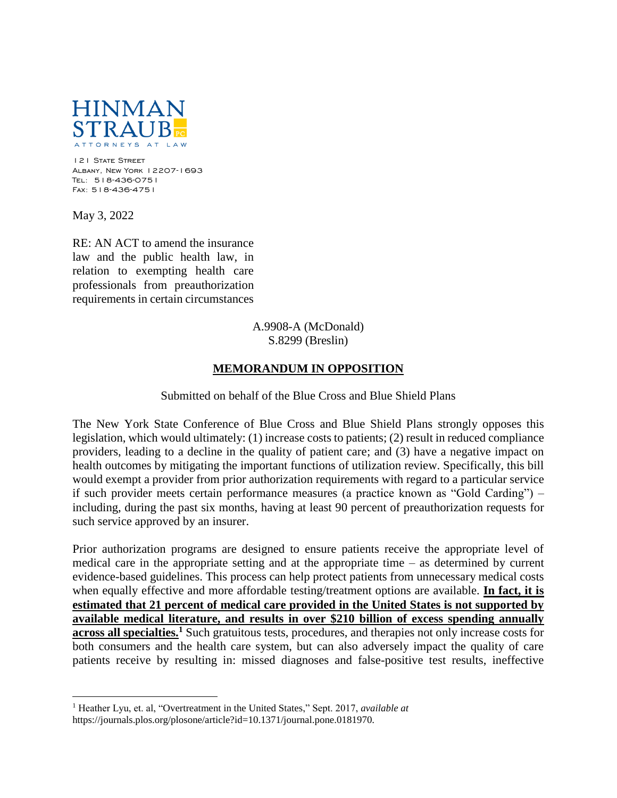

121 State Street Albany, New York 12207-1693 Tel: 518-436-0751 Fax: 518-436-4751

May 3, 2022

 $\overline{a}$ 

RE: AN ACT to amend the insurance law and the public health law, in relation to exempting health care professionals from preauthorization requirements in certain circumstances

## A.9908-A (McDonald) S.8299 (Breslin)

## **MEMORANDUM IN OPPOSITION**

## Submitted on behalf of the Blue Cross and Blue Shield Plans

The New York State Conference of Blue Cross and Blue Shield Plans strongly opposes this legislation, which would ultimately: (1) increase costs to patients; (2) result in reduced compliance providers, leading to a decline in the quality of patient care; and (3) have a negative impact on health outcomes by mitigating the important functions of utilization review. Specifically, this bill would exempt a provider from prior authorization requirements with regard to a particular service if such provider meets certain performance measures (a practice known as "Gold Carding") – including, during the past six months, having at least 90 percent of preauthorization requests for such service approved by an insurer.

Prior authorization programs are designed to ensure patients receive the appropriate level of medical care in the appropriate setting and at the appropriate time – as determined by current evidence-based guidelines. This process can help protect patients from unnecessary medical costs when equally effective and more affordable testing/treatment options are available. **In fact, it is estimated that 21 percent of medical care provided in the United States is not supported by available medical literature, and results in over \$210 billion of excess spending annually across all specialties.<sup>1</sup>** Such gratuitous tests, procedures, and therapies not only increase costs for both consumers and the health care system, but can also adversely impact the quality of care patients receive by resulting in: missed diagnoses and false-positive test results, ineffective

<sup>1</sup> Heather Lyu, et. al, "Overtreatment in the United States," Sept. 2017, *available at*  https://journals.plos.org/plosone/article?id=10.1371/journal.pone.0181970.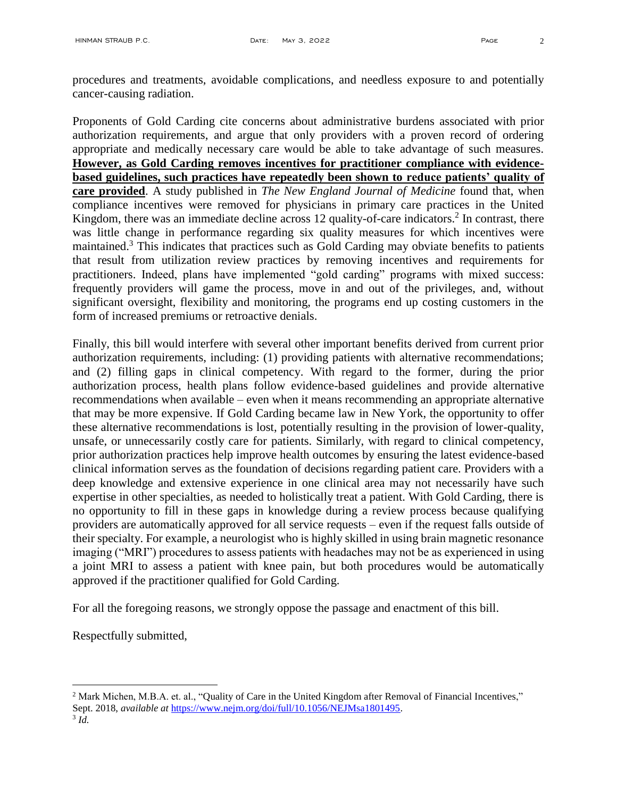procedures and treatments, avoidable complications, and needless exposure to and potentially cancer-causing radiation.

Proponents of Gold Carding cite concerns about administrative burdens associated with prior authorization requirements, and argue that only providers with a proven record of ordering appropriate and medically necessary care would be able to take advantage of such measures. **However, as Gold Carding removes incentives for practitioner compliance with evidencebased guidelines, such practices have repeatedly been shown to reduce patients' quality of care provided**. A study published in *The New England Journal of Medicine* found that, when compliance incentives were removed for physicians in primary care practices in the United Kingdom, there was an immediate decline across 12 quality-of-care indicators.<sup>2</sup> In contrast, there was little change in performance regarding six quality measures for which incentives were maintained.<sup>3</sup> This indicates that practices such as Gold Carding may obviate benefits to patients that result from utilization review practices by removing incentives and requirements for practitioners. Indeed, plans have implemented "gold carding" programs with mixed success: frequently providers will game the process, move in and out of the privileges, and, without significant oversight, flexibility and monitoring, the programs end up costing customers in the form of increased premiums or retroactive denials.

Finally, this bill would interfere with several other important benefits derived from current prior authorization requirements, including: (1) providing patients with alternative recommendations; and (2) filling gaps in clinical competency. With regard to the former, during the prior authorization process, health plans follow evidence-based guidelines and provide alternative recommendations when available – even when it means recommending an appropriate alternative that may be more expensive. If Gold Carding became law in New York, the opportunity to offer these alternative recommendations is lost, potentially resulting in the provision of lower-quality, unsafe, or unnecessarily costly care for patients. Similarly, with regard to clinical competency, prior authorization practices help improve health outcomes by ensuring the latest evidence-based clinical information serves as the foundation of decisions regarding patient care. Providers with a deep knowledge and extensive experience in one clinical area may not necessarily have such expertise in other specialties, as needed to holistically treat a patient. With Gold Carding, there is no opportunity to fill in these gaps in knowledge during a review process because qualifying providers are automatically approved for all service requests – even if the request falls outside of their specialty. For example, a neurologist who is highly skilled in using brain magnetic resonance imaging ("MRI") procedures to assess patients with headaches may not be as experienced in using a joint MRI to assess a patient with knee pain, but both procedures would be automatically approved if the practitioner qualified for Gold Carding.

For all the foregoing reasons, we strongly oppose the passage and enactment of this bill.

Respectfully submitted,

 $\overline{a}$ 

<sup>&</sup>lt;sup>2</sup> Mark Michen, M.B.A. et. al., "Quality of Care in the United Kingdom after Removal of Financial Incentives," Sept. 2018, *available at* [https://www.nejm.org/doi/full/10.1056/NEJMsa1801495.](https://www.nejm.org/doi/full/10.1056/NEJMsa1801495) 

<sup>3</sup> *Id.*